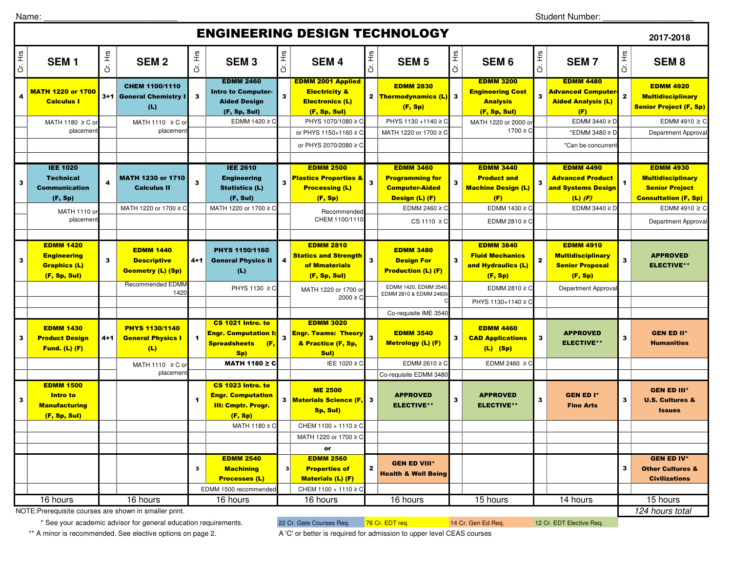Name:

Student Number: \_\_\_\_\_\_\_\_\_\_\_\_\_\_\_\_\_\_\_

## ENGINEERING DESIGN TECHNOLOGY

|              |                                                                      |              |                                                                    |                         |                                                                                       |                | ENGINEERING DESIGN TECHNOLOGT                                                                  |                         |                                                                    |                         |                                                                                |                         |                                                                            |                         | 2017-2018                                                                     |
|--------------|----------------------------------------------------------------------|--------------|--------------------------------------------------------------------|-------------------------|---------------------------------------------------------------------------------------|----------------|------------------------------------------------------------------------------------------------|-------------------------|--------------------------------------------------------------------|-------------------------|--------------------------------------------------------------------------------|-------------------------|----------------------------------------------------------------------------|-------------------------|-------------------------------------------------------------------------------|
| Cr. Hrs      | SEM <sub>1</sub>                                                     | Cr. Hrs      | <b>SEM2</b>                                                        | Cr. Hrs                 | <b>SEM3</b>                                                                           | Cr. Hrs        | <b>SEM4</b>                                                                                    | Cr. Hrs                 | <b>SEM 5</b>                                                       | Cr. Hrs                 | SEM <sub>6</sub>                                                               | Cr. Hrs                 | <b>SEM7</b>                                                                | Cr. Hrs                 | SEM <sub>8</sub>                                                              |
| 4            | MATH 1220 or 1700<br><b>Calculus I</b>                               |              | CHEM 1100/1110<br>3+1 General Chemistry I<br>(L)                   | $\overline{\mathbf{3}}$ | <b>EDMM 2460</b><br><b>Intro to Computer-</b><br><b>Aided Design</b><br>(F, Sp, Sul)  | 3              | <b>EDMM 2001 Applied</b><br><b>Electricity &amp;</b><br><b>Electronics (L)</b><br>(F, Sp, Sul) |                         | <b>EDMM 2830</b><br>2 Thermodynamics (L) 3<br>(F, Sp)              |                         | <b>EDMM 3200</b><br><b>Engineering Cost</b><br><b>Analysis</b><br>(F, Sp, Sul) | $\overline{\mathbf{3}}$ | <b>EDMM 4480</b><br>Advanced Computer-<br><b>Aided Analysis (L)</b><br>(F) | $\mathbf{2}$            | <b>EDMM 4920</b><br><b>Multidisciplinary</b><br><b>Senior Project (F, Sp)</b> |
|              | MATH 1180 ≥ C o                                                      |              | MATH 1110 $\geq$ C o                                               |                         | EDMM 1420 ≥ C                                                                         |                | PHYS 1070/1080 ≥ C                                                                             |                         | PHYS 1130 +1140 ≥ C                                                |                         | MATH 1220 or 2000 o                                                            |                         | EDMM 3440 $\geq$ D                                                         |                         | EDMM 4910 $\geq$ C                                                            |
|              | placemen                                                             |              | placemen                                                           |                         |                                                                                       |                | or PHYS 1150+1160 ≥ C                                                                          |                         | MATH 1220 or 1700 ≥ 0                                              |                         | 1700 ≥ C                                                                       |                         | *EDMM 3480 ≥ D                                                             |                         | Department Approva                                                            |
|              |                                                                      |              |                                                                    |                         |                                                                                       |                | or PHYS 2070/2080 ≥ C                                                                          |                         |                                                                    |                         |                                                                                |                         | *Can be concurren                                                          |                         |                                                                               |
|              | <b>IEE 1020</b>                                                      |              |                                                                    |                         | <b>IEE 2610</b>                                                                       |                | <b>EDMM 2500</b>                                                                               |                         | <b>EDMM 3460</b>                                                   |                         | <b>EDMM 3440</b>                                                               |                         | <b>EDMM 4490</b>                                                           |                         | <b>EDMM 4930</b>                                                              |
| $\mathbf{3}$ | <b>Technical</b><br><b>Communication</b>                             | 4            | MATH 1230 or 1710<br><b>Calculus II</b>                            | $\overline{\mathbf{3}}$ | <b>Engineering</b><br><b>Statistics (L)</b>                                           | $\mathbf{3}$   | <b>Plastics Properties &amp;</b><br><b>Processing (L)</b>                                      | $\mathbf{3}$            | <b>Programming for</b><br><b>Computer-Aided</b>                    | 3                       | <b>Product and</b><br><b>Machine Design (L)</b>                                | $\mathbf{3}$            | <b>Advanced Product</b><br>and Systems Design                              | $\blacktriangleleft$    | <b>Multidisciplinary</b><br><b>Senior Project</b>                             |
|              | (F, Sp)                                                              |              | MATH 1220 or 1700 ≥ C                                              |                         | (F, Sul)<br>MATH 1220 or 1700 ≥ C                                                     |                | (F, Sp)                                                                                        |                         | Design (L) (F)<br>EDMM 2460 $\geq$ C                               |                         | (F)<br>EDMM 1430 $\geq$ C                                                      |                         | $(L)$ (F)<br>EDMM 3440 $\geq$ D                                            |                         | <b>Consultation (F, Sp)</b><br>EDMM 4910 $\geq$ C                             |
|              | MATH 1110 OI<br>placement                                            |              |                                                                    |                         |                                                                                       |                | Recommended<br>CHEM 1100/1110                                                                  |                         | $CS 1110 \geq C$                                                   |                         | EDMM 2810 ≥ C                                                                  |                         |                                                                            |                         | Department Approval                                                           |
| $\mathbf{3}$ | <b>EDMM 1420</b><br><b>Engineering</b><br><b>Graphics (L)</b>        | $\mathbf{3}$ | <b>EDMM 1440</b><br><b>Descriptive</b><br><b>Geometry (L) (Sp)</b> | 4+1                     | PHYS 1150/1160<br><b>General Physics II</b><br>(L)                                    | 4              | <b>EDMM 2810</b><br><b>Statics and Strength</b><br>of Mmaterials                               | $\mathbf{3}$            | <b>EDMM 3480</b><br><b>Design For</b><br><b>Production (L) (F)</b> | $\overline{\mathbf{3}}$ | <b>EDMM 3840</b><br><b>Fluid Mechanics</b><br>and Hydraulics (L)               | $\mathbf{z}$            | <b>EDMM 4910</b><br><b>Multidisciplinary</b><br><b>Senior Proposal</b>     | $\overline{\mathbf{3}}$ | <b>APPROVED</b><br><b>ELECTIVE**</b>                                          |
|              | (F, Sp, Sul)                                                         |              | <b>Recommended EDMM</b>                                            |                         | PHYS 1130 ≥ C                                                                         |                | (F, Sp, Sul)<br>MATH 1220 or 1700 or                                                           |                         | EDMM 1420, EDMM 2540                                               |                         | (F, Sp)<br>EDMM 2810 $\geq$ C                                                  |                         | (F, Sp)<br>Department Approval                                             |                         |                                                                               |
|              |                                                                      |              | 1420                                                               |                         |                                                                                       |                | $2000 \ge C$                                                                                   |                         | EDMM 2810 & EDMM 2460≥                                             |                         | PHYS 1130+1140 ≥ C                                                             |                         |                                                                            |                         |                                                                               |
|              |                                                                      |              |                                                                    |                         |                                                                                       |                |                                                                                                |                         | Co-requisite IME 3540                                              |                         |                                                                                |                         |                                                                            |                         |                                                                               |
| $\mathbf{3}$ | <b>EDMM 1430</b><br><b>Product Design</b><br><b>Fund. (L) (F)</b>    | 4+1          | <b>PHYS 1130/1140</b><br><b>General Physics I</b><br>(L)           | $\blacktriangleleft$    | CS 1021 Intro. to<br><b>Engr. Computation I:</b><br><b>Spreadsheets</b><br>(F,<br>Sp) |                | <b>EDMM 3020</b><br><b>Engr. Teams: Theory</b><br>& Practice (F, Sp,<br>Sul)                   | $\overline{\mathbf{3}}$ | <b>EDMM 3540</b><br>Metrology (L) (F)                              | 3                       | <b>EDMM 4460</b><br><b>CAD Applications</b><br>$(L)$ (Sp)                      | $\overline{\mathbf{3}}$ | <b>APPROVED</b><br><b>ELECTIVE**</b>                                       | $\overline{\mathbf{3}}$ | <b>GEN ED II*</b><br><b>Humanities</b>                                        |
|              |                                                                      |              | MATH 1110 ≥ C or                                                   |                         | <b>MATH 1180 ≥ C</b>                                                                  |                | IEE 1020 ≥ C                                                                                   |                         | EDMM 2610 ≥ C                                                      |                         | EDMM 2460 $\geq$ C                                                             |                         |                                                                            |                         |                                                                               |
|              |                                                                      |              | placemen                                                           |                         |                                                                                       |                |                                                                                                |                         | Co-requisite EDMM 3480                                             |                         |                                                                                |                         |                                                                            |                         |                                                                               |
| $\mathbf{3}$ | <b>EDMM 1500</b><br>Intro to<br><b>Manufacturing</b><br>(F, Sp, Sul) |              |                                                                    | -1                      | CS 1023 Intro. to<br><b>Engr. Computation</b><br><b>III: Cmptr. Progr.</b><br>(F, Sp) |                | <b>ME 2500</b><br>3 Materials Science (F,<br>Sp, Sul)                                          | $\mathbf{3}$            | <b>APPROVED</b><br><b>ELECTIVE**</b>                               | 3                       | <b>APPROVED</b><br><b>ELECTIVE**</b>                                           | 3                       | <b>GEN ED I*</b><br><b>Fine Arts</b>                                       | 3                       | <b>GEN ED III*</b><br><b>U.S. Cultures &amp;</b><br><b>Issues</b>             |
|              |                                                                      |              |                                                                    |                         | MATH 1180 ≥ C                                                                         |                | CHEM 1100 + 1110 ≥ C<br>MATH 1220 or 1700 ≥ C                                                  |                         |                                                                    |                         |                                                                                |                         |                                                                            |                         |                                                                               |
|              |                                                                      |              |                                                                    |                         |                                                                                       |                | or                                                                                             |                         |                                                                    |                         |                                                                                |                         |                                                                            |                         |                                                                               |
|              |                                                                      |              |                                                                    | $\mathbf{3}$            | <b>EDMM 2540</b><br><b>Machining</b><br><b>Processes (L)</b><br>EDMM 1500 recommended | 3 <sup>1</sup> | <b>EDMM 2560</b><br><b>Properties of</b><br><b>Materials (L) (F)</b><br>CHEM 1100 + 1110 ≥ C   |                         | <b>GEN ED VIII*</b><br><b>Health &amp; Well Being</b>              |                         |                                                                                |                         |                                                                            | 3                       | <b>GEN ED IV*</b><br><b>Other Cultures &amp;</b><br><b>Civilizations</b>      |
|              | 16 hours                                                             |              | 16 hours                                                           |                         | 16 hours                                                                              |                | 16 hours                                                                                       |                         | 16 hours                                                           |                         | 15 hours                                                                       |                         | 14 hours                                                                   |                         | 15 hours                                                                      |
|              | NOTE: Prerequisite courses are shown in smaller print.               |              |                                                                    |                         |                                                                                       |                |                                                                                                |                         | 124 hours total                                                    |                         |                                                                                |                         |                                                                            |                         |                                                                               |

\* See your academic advisor for general education requirements.

\*\* A minor is recommended. See elective options on page 2. A 'C' or better is required for admission to upper level CEAS courses

22 Cr. Gate Courses Req. 76 Cr. EDT req. 14 Cr. Gen Ed Req. 12 Cr. EDT Elective Req.